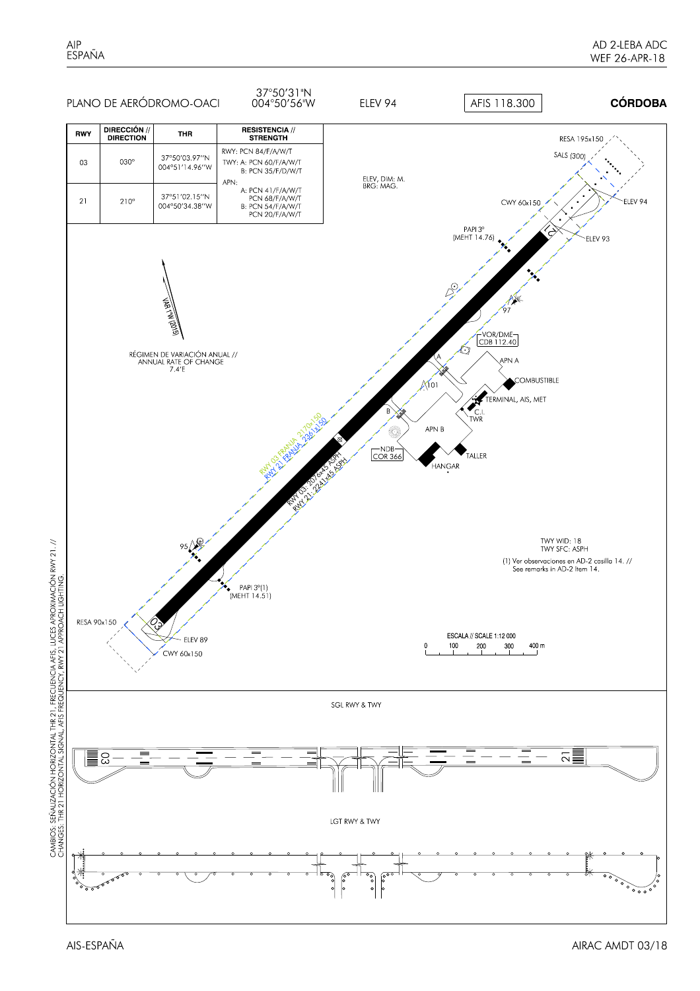